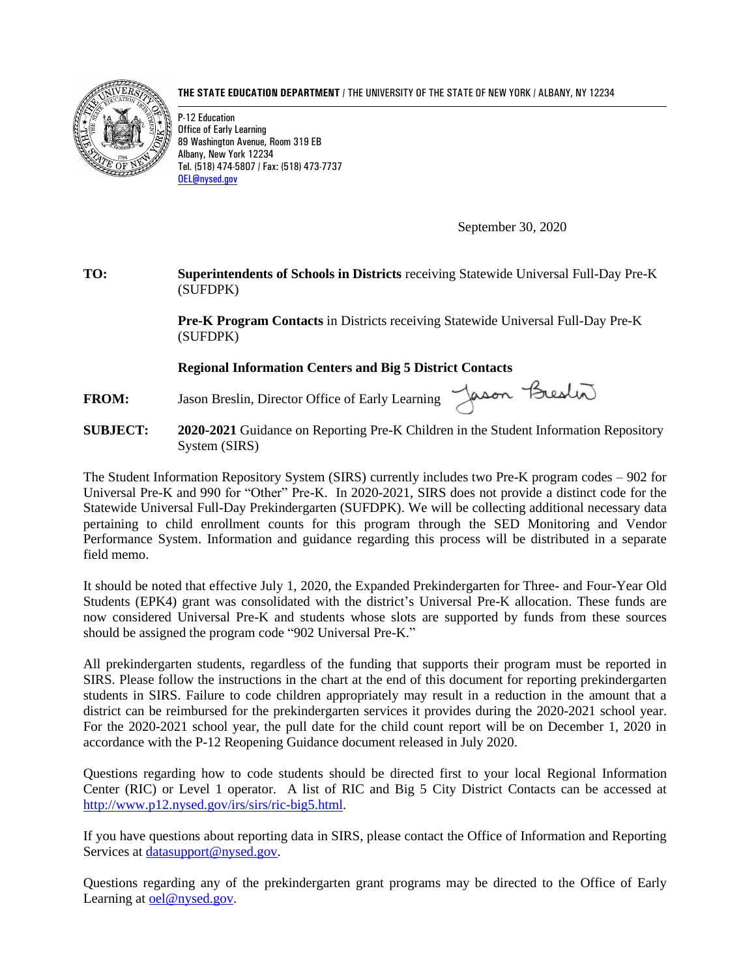**THE STATE EDUCATION DEPARTMENT** / THE UNIVERSITY OF THE STATE OF NEW YORK / ALBANY, NY 12234



P-12 Education Office of Early Learning 89 Washington Avenue, Room 319 EB Albany, New York 12234 Tel. (518) 474-5807 / Fax: (518) 473-7737 [OEL@nysed.gov](mailto:OEL@nysed.gov)

September 30, 2020

## **TO: Superintendents of Schools in Districts** receiving Statewide Universal Full-Day Pre-K (SUFDPK)

**Pre-K Program Contacts** in Districts receiving Statewide Universal Full-Day Pre-K (SUFDPK)

## **Regional Information Centers and Big 5 District Contacts**

FROM: Jason Breslin, Director Office of Early Learning Jason Breslin

**SUBJECT: 2020-2021** Guidance on Reporting Pre-K Children in the Student Information Repository System (SIRS)

The Student Information Repository System (SIRS) currently includes two Pre-K program codes – 902 for Universal Pre-K and 990 for "Other" Pre-K. In 2020-2021, SIRS does not provide a distinct code for the Statewide Universal Full-Day Prekindergarten (SUFDPK). We will be collecting additional necessary data pertaining to child enrollment counts for this program through the SED Monitoring and Vendor Performance System. Information and guidance regarding this process will be distributed in a separate field memo.

It should be noted that effective July 1, 2020, the Expanded Prekindergarten for Three- and Four-Year Old Students (EPK4) grant was consolidated with the district's Universal Pre-K allocation. These funds are now considered Universal Pre-K and students whose slots are supported by funds from these sources should be assigned the program code "902 Universal Pre-K."

All prekindergarten students, regardless of the funding that supports their program must be reported in SIRS. Please follow the instructions in the chart at the end of this document for reporting prekindergarten students in SIRS. Failure to code children appropriately may result in a reduction in the amount that a district can be reimbursed for the prekindergarten services it provides during the 2020-2021 school year. For the 2020-2021 school year, the pull date for the child count report will be on December 1, 2020 in accordance with the P-12 Reopening Guidance document released in July 2020.

Questions regarding how to code students should be directed first to your local Regional Information Center (RIC) or Level 1 operator. A list of RIC and Big 5 City District Contacts can be accessed at [http://www.p12.nysed.gov/irs/sirs/ric-big5.html.](http://www.p12.nysed.gov/irs/sirs/ric-big5.html)

If you have questions about reporting data in SIRS, please contact the Office of Information and Reporting Services at [datasupport@nysed.gov.](mailto:dataquest@nysed.gov)

Questions regarding any of the prekindergarten grant programs may be directed to the Office of Early Learning at [oel@nysed.gov.](mailto:oel@nysed.gov)